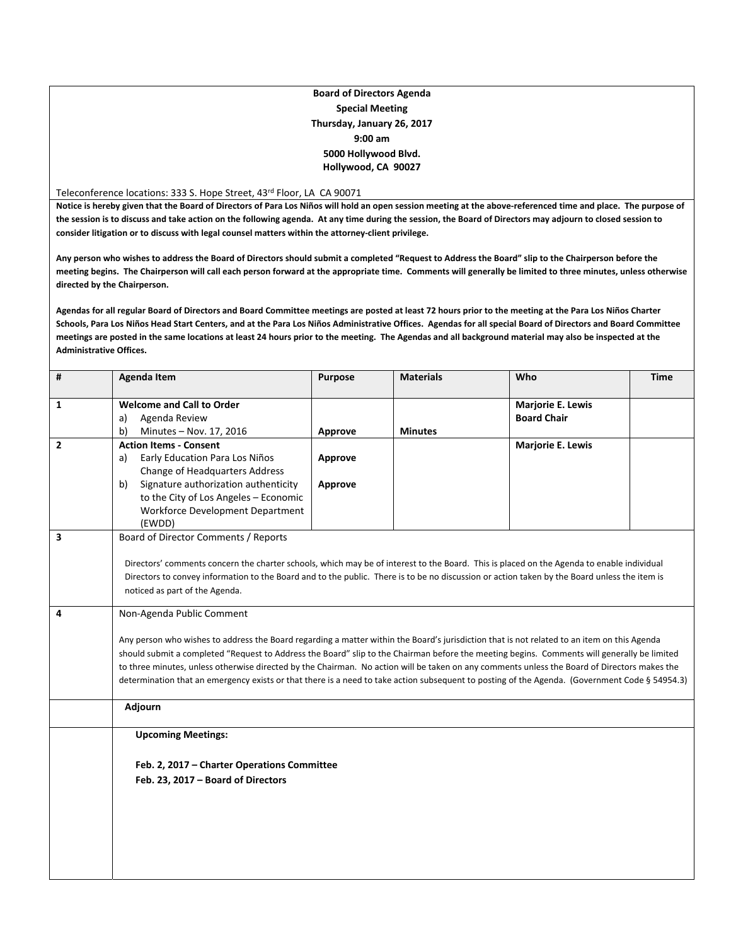## **Board of Directors Agenda Special Meeting Thursday, January 26, 2017 9:00 am 5000 Hollywood Blvd. Hollywood, CA 90027**

Teleconference locations: 333 S. Hope Street, 43rd Floor, LA CA 90071

Notice is hereby given that the Board of Directors of Para Los Niños will hold an open session meeting at the above-referenced time and place. The purpose of the session is to discuss and take action on the following agenda. At any time during the session, the Board of Directors may adjourn to closed session to **consider litigation or to discuss with legal counsel matters within the attorney‐client privilege.**

Any person who wishes to address the Board of Directors should submit a completed "Request to Address the Board" slip to the Chairperson before the meeting begins. The Chairperson will call each person forward at the appropriate time. Comments will generally be limited to three minutes, unless otherwise **directed by the Chairperson.**

Agendas for all regular Board of Directors and Board Committee meetings are posted at least 72 hours prior to the meeting at the Para Los Niños Charter Schools, Para Los Niños Head Start Centers, and at the Para Los Niños Administrative Offices. Agendas for all special Board of Directors and Board Committee meetings are posted in the same locations at least 24 hours prior to the meeting. The Agendas and all background material may also be inspected at the **Administrative Offices.**

| #            | <b>Agenda Item</b>                                                                                                                                                                                                                                                                        | <b>Purpose</b> | <b>Materials</b> | Who                      | <b>Time</b> |  |  |
|--------------|-------------------------------------------------------------------------------------------------------------------------------------------------------------------------------------------------------------------------------------------------------------------------------------------|----------------|------------------|--------------------------|-------------|--|--|
| 1            | <b>Welcome and Call to Order</b>                                                                                                                                                                                                                                                          |                |                  | <b>Marjorie E. Lewis</b> |             |  |  |
|              | Agenda Review<br>a)                                                                                                                                                                                                                                                                       |                |                  | <b>Board Chair</b>       |             |  |  |
|              | b)<br>Minutes - Nov. 17, 2016                                                                                                                                                                                                                                                             | Approve        | <b>Minutes</b>   |                          |             |  |  |
| $\mathbf{2}$ | <b>Action Items - Consent</b>                                                                                                                                                                                                                                                             |                |                  | <b>Marjorie E. Lewis</b> |             |  |  |
|              | Early Education Para Los Niños<br>a)                                                                                                                                                                                                                                                      | Approve        |                  |                          |             |  |  |
|              | Change of Headquarters Address                                                                                                                                                                                                                                                            |                |                  |                          |             |  |  |
|              | Signature authorization authenticity<br>b)                                                                                                                                                                                                                                                | Approve        |                  |                          |             |  |  |
|              | to the City of Los Angeles - Economic                                                                                                                                                                                                                                                     |                |                  |                          |             |  |  |
|              | Workforce Development Department                                                                                                                                                                                                                                                          |                |                  |                          |             |  |  |
|              | (EWDD)                                                                                                                                                                                                                                                                                    |                |                  |                          |             |  |  |
| 3            | Board of Director Comments / Reports                                                                                                                                                                                                                                                      |                |                  |                          |             |  |  |
|              |                                                                                                                                                                                                                                                                                           |                |                  |                          |             |  |  |
|              | Directors' comments concern the charter schools, which may be of interest to the Board. This is placed on the Agenda to enable individual<br>Directors to convey information to the Board and to the public. There is to be no discussion or action taken by the Board unless the item is |                |                  |                          |             |  |  |
|              |                                                                                                                                                                                                                                                                                           |                |                  |                          |             |  |  |
|              | noticed as part of the Agenda.                                                                                                                                                                                                                                                            |                |                  |                          |             |  |  |
| 4            | Non-Agenda Public Comment                                                                                                                                                                                                                                                                 |                |                  |                          |             |  |  |
|              | Any person who wishes to address the Board regarding a matter within the Board's jurisdiction that is not related to an item on this Agenda                                                                                                                                               |                |                  |                          |             |  |  |
|              | should submit a completed "Request to Address the Board" slip to the Chairman before the meeting begins. Comments will generally be limited                                                                                                                                               |                |                  |                          |             |  |  |
|              | to three minutes, unless otherwise directed by the Chairman. No action will be taken on any comments unless the Board of Directors makes the                                                                                                                                              |                |                  |                          |             |  |  |
|              | determination that an emergency exists or that there is a need to take action subsequent to posting of the Agenda. (Government Code § 54954.3)                                                                                                                                            |                |                  |                          |             |  |  |
|              |                                                                                                                                                                                                                                                                                           |                |                  |                          |             |  |  |
|              | Adjourn                                                                                                                                                                                                                                                                                   |                |                  |                          |             |  |  |
|              | <b>Upcoming Meetings:</b>                                                                                                                                                                                                                                                                 |                |                  |                          |             |  |  |
|              | Feb. 2, 2017 - Charter Operations Committee                                                                                                                                                                                                                                               |                |                  |                          |             |  |  |
|              | Feb. 23, 2017 - Board of Directors                                                                                                                                                                                                                                                        |                |                  |                          |             |  |  |
|              |                                                                                                                                                                                                                                                                                           |                |                  |                          |             |  |  |
|              |                                                                                                                                                                                                                                                                                           |                |                  |                          |             |  |  |
|              |                                                                                                                                                                                                                                                                                           |                |                  |                          |             |  |  |
|              |                                                                                                                                                                                                                                                                                           |                |                  |                          |             |  |  |
|              |                                                                                                                                                                                                                                                                                           |                |                  |                          |             |  |  |
|              |                                                                                                                                                                                                                                                                                           |                |                  |                          |             |  |  |
|              |                                                                                                                                                                                                                                                                                           |                |                  |                          |             |  |  |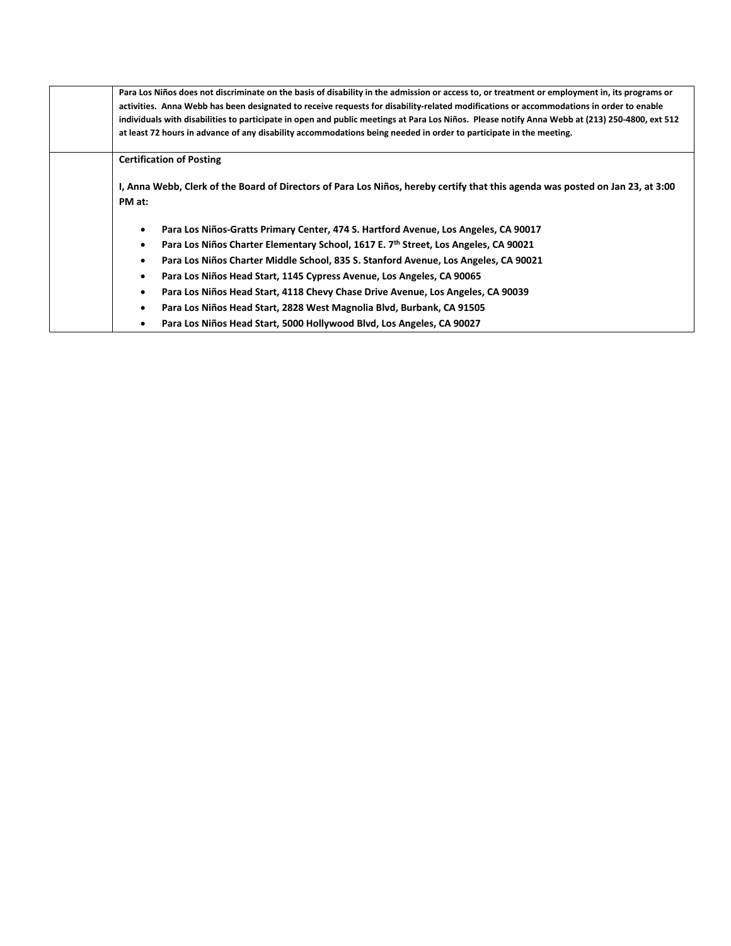| Para Los Niños does not discriminate on the basis of disability in the admission or access to, or treatment or employment in, its programs or<br>activities. Anna Webb has been designated to receive requests for disability-related modifications or accommodations in order to enable<br>individuals with disabilities to participate in open and public meetings at Para Los Niños. Please notify Anna Webb at (213) 250-4800, ext 512<br>at least 72 hours in advance of any disability accommodations being needed in order to participate in the meeting. |
|------------------------------------------------------------------------------------------------------------------------------------------------------------------------------------------------------------------------------------------------------------------------------------------------------------------------------------------------------------------------------------------------------------------------------------------------------------------------------------------------------------------------------------------------------------------|
| <b>Certification of Posting</b>                                                                                                                                                                                                                                                                                                                                                                                                                                                                                                                                  |
| I, Anna Webb, Clerk of the Board of Directors of Para Los Niños, hereby certify that this agenda was posted on Jan 23, at 3:00<br>PM at:                                                                                                                                                                                                                                                                                                                                                                                                                         |
| Para Los Niños-Gratts Primary Center, 474 S. Hartford Avenue, Los Angeles, CA 90017<br>٠                                                                                                                                                                                                                                                                                                                                                                                                                                                                         |
| Para Los Niños Charter Elementary School, 1617 E. 7th Street, Los Angeles, CA 90021<br>$\bullet$                                                                                                                                                                                                                                                                                                                                                                                                                                                                 |
| Para Los Niños Charter Middle School, 835 S. Stanford Avenue, Los Angeles, CA 90021<br>$\bullet$                                                                                                                                                                                                                                                                                                                                                                                                                                                                 |
| Para Los Niños Head Start, 1145 Cypress Avenue, Los Angeles, CA 90065<br>$\bullet$                                                                                                                                                                                                                                                                                                                                                                                                                                                                               |
| Para Los Niños Head Start, 4118 Chevy Chase Drive Avenue, Los Angeles, CA 90039<br>٠                                                                                                                                                                                                                                                                                                                                                                                                                                                                             |
| Para Los Niños Head Start, 2828 West Magnolia Blvd, Burbank, CA 91505<br>$\bullet$                                                                                                                                                                                                                                                                                                                                                                                                                                                                               |
| Para Los Niños Head Start, 5000 Hollywood Blvd, Los Angeles, CA 90027                                                                                                                                                                                                                                                                                                                                                                                                                                                                                            |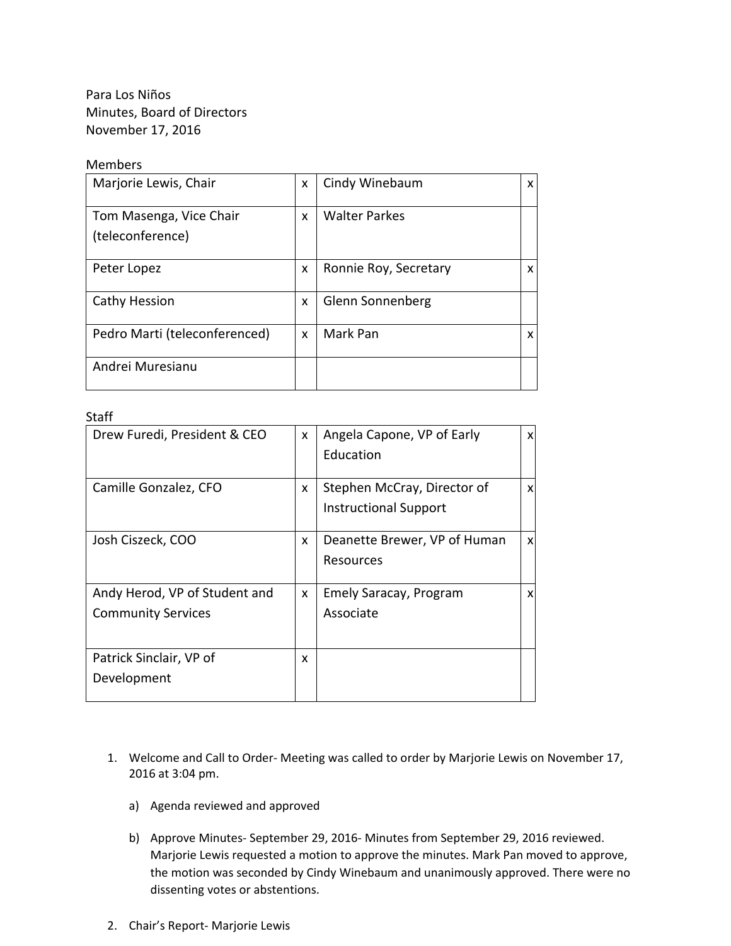Para Los Niños Minutes, Board of Directors November 17, 2016

## Members

| Marjorie Lewis, Chair                       | x | Cindy Winebaum        | x |
|---------------------------------------------|---|-----------------------|---|
| Tom Masenga, Vice Chair<br>(teleconference) | X | <b>Walter Parkes</b>  |   |
| Peter Lopez                                 | X | Ronnie Roy, Secretary | x |
| Cathy Hession                               | X | Glenn Sonnenberg      |   |
| Pedro Marti (teleconferenced)               | X | Mark Pan              | x |
| Andrei Muresianu                            |   |                       |   |

## Staff

| Drew Furedi, President & CEO  | X | Angela Capone, VP of Early   | X |
|-------------------------------|---|------------------------------|---|
|                               |   | Education                    |   |
|                               |   |                              |   |
| Camille Gonzalez, CFO         | x | Stephen McCray, Director of  | x |
|                               |   | <b>Instructional Support</b> |   |
|                               |   |                              |   |
| Josh Ciszeck, COO             | x | Deanette Brewer, VP of Human | X |
|                               |   | Resources                    |   |
|                               |   |                              |   |
| Andy Herod, VP of Student and | x | Emely Saracay, Program       | x |
| <b>Community Services</b>     |   | Associate                    |   |
|                               |   |                              |   |
| Patrick Sinclair, VP of       | x |                              |   |
| Development                   |   |                              |   |
|                               |   |                              |   |

- 1. Welcome and Call to Order‐ Meeting was called to order by Marjorie Lewis on November 17, 2016 at 3:04 pm.
	- a) Agenda reviewed and approved
	- b) Approve Minutes‐ September 29, 2016‐ Minutes from September 29, 2016 reviewed. Marjorie Lewis requested a motion to approve the minutes. Mark Pan moved to approve, the motion was seconded by Cindy Winebaum and unanimously approved. There were no dissenting votes or abstentions.
- 2. Chair's Report‐ Marjorie Lewis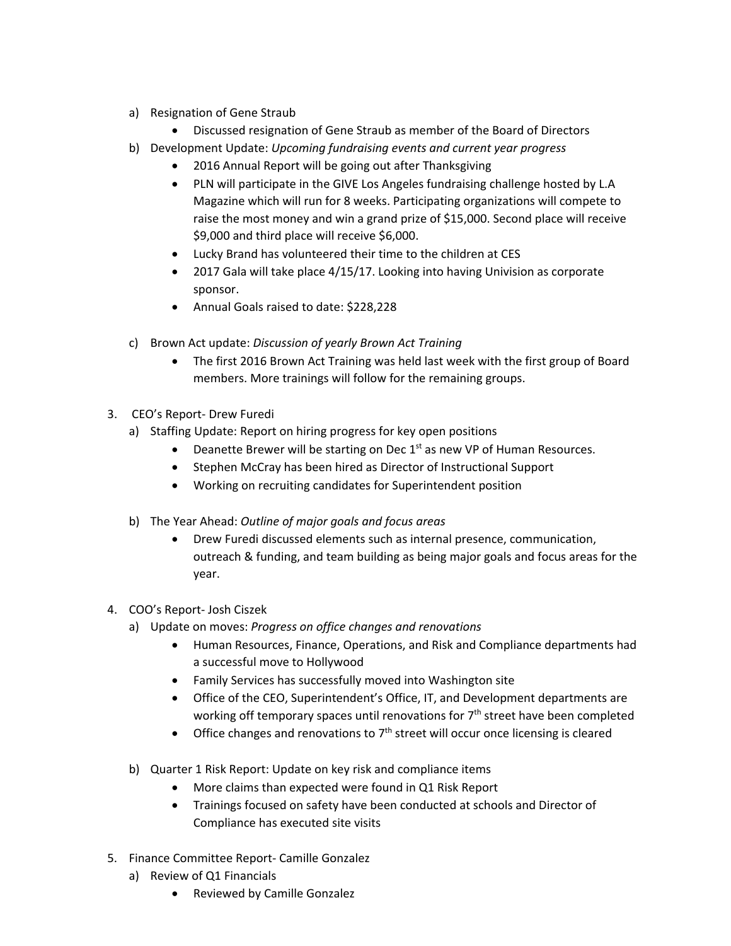- a) Resignation of Gene Straub
	- Discussed resignation of Gene Straub as member of the Board of Directors
- b) Development Update: *Upcoming fundraising events and current year progress*
	- 2016 Annual Report will be going out after Thanksgiving
	- PLN will participate in the GIVE Los Angeles fundraising challenge hosted by L.A Magazine which will run for 8 weeks. Participating organizations will compete to raise the most money and win a grand prize of \$15,000. Second place will receive \$9,000 and third place will receive \$6,000.
	- Lucky Brand has volunteered their time to the children at CES
	- 2017 Gala will take place 4/15/17. Looking into having Univision as corporate sponsor.
	- Annual Goals raised to date: \$228,228
- c) Brown Act update: *Discussion of yearly Brown Act Training*
	- The first 2016 Brown Act Training was held last week with the first group of Board members. More trainings will follow for the remaining groups.
- 3. CEO's Report‐ Drew Furedi
	- a) Staffing Update: Report on hiring progress for key open positions
		- **•** Deanette Brewer will be starting on Dec  $1<sup>st</sup>$  as new VP of Human Resources.
		- Stephen McCray has been hired as Director of Instructional Support
		- Working on recruiting candidates for Superintendent position
	- b) The Year Ahead: *Outline of major goals and focus areas*
		- Drew Furedi discussed elements such as internal presence, communication, outreach & funding, and team building as being major goals and focus areas for the year.
- 4. COO's Report‐ Josh Ciszek
	- a) Update on moves: *Progress on office changes and renovations*
		- Human Resources, Finance, Operations, and Risk and Compliance departments had a successful move to Hollywood
		- Family Services has successfully moved into Washington site
		- Office of the CEO, Superintendent's Office, IT, and Development departments are working off temporary spaces until renovations for  $7<sup>th</sup>$  street have been completed
		- Office changes and renovations to  $7<sup>th</sup>$  street will occur once licensing is cleared
	- b) Quarter 1 Risk Report: Update on key risk and compliance items
		- More claims than expected were found in Q1 Risk Report
		- Trainings focused on safety have been conducted at schools and Director of Compliance has executed site visits
- 5. Finance Committee Report‐ Camille Gonzalez
	- a) Review of Q1 Financials
		- Reviewed by Camille Gonzalez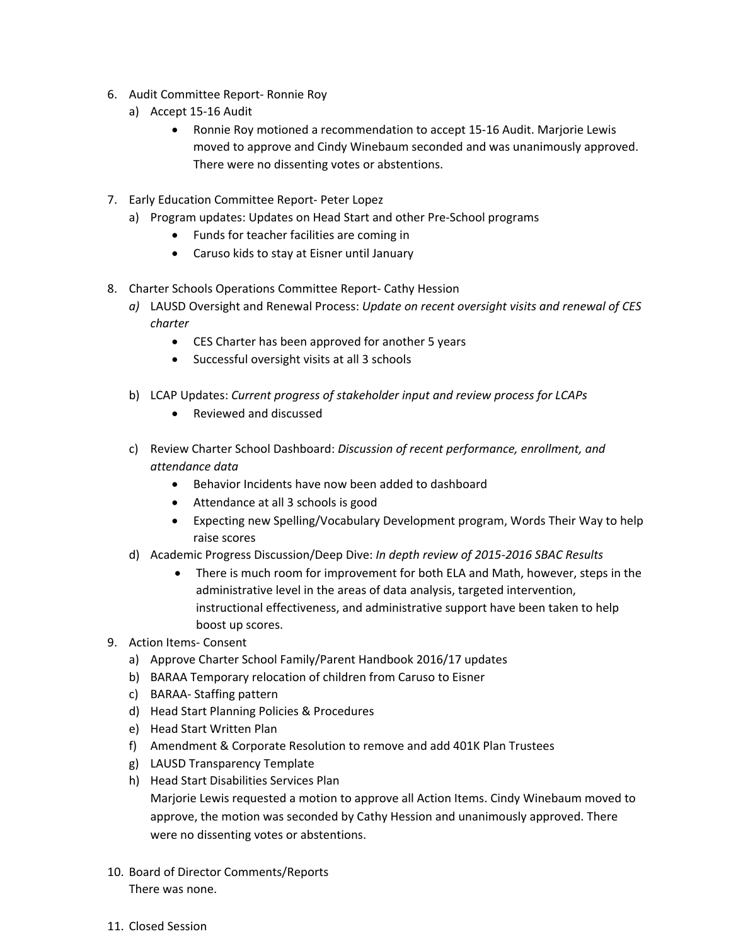- 6. Audit Committee Report‐ Ronnie Roy
	- a) Accept 15‐16 Audit
		- Ronnie Roy motioned a recommendation to accept 15-16 Audit. Marjorie Lewis moved to approve and Cindy Winebaum seconded and was unanimously approved. There were no dissenting votes or abstentions.
- 7. Early Education Committee Report‐ Peter Lopez
	- a) Program updates: Updates on Head Start and other Pre‐School programs
		- Funds for teacher facilities are coming in
		- Caruso kids to stay at Eisner until January
- 8. Charter Schools Operations Committee Report‐ Cathy Hession
	- *a)* LAUSD Oversight and Renewal Process: *Update on recent oversight visits and renewal of CES charter* 
		- CES Charter has been approved for another 5 years
		- Successful oversight visits at all 3 schools
	- b) LCAP Updates: *Current progress of stakeholder input and review process for LCAPs*
		- Reviewed and discussed
	- c) Review Charter School Dashboard: *Discussion of recent performance, enrollment, and attendance data*
		- Behavior Incidents have now been added to dashboard
		- Attendance at all 3 schools is good
		- Expecting new Spelling/Vocabulary Development program, Words Their Way to help raise scores
	- d) Academic Progress Discussion/Deep Dive: *In depth review of 2015‐2016 SBAC Results*
		- There is much room for improvement for both ELA and Math, however, steps in the administrative level in the areas of data analysis, targeted intervention, instructional effectiveness, and administrative support have been taken to help boost up scores.
- 9. Action Items‐ Consent
	- a) Approve Charter School Family/Parent Handbook 2016/17 updates
	- b) BARAA Temporary relocation of children from Caruso to Eisner
	- c) BARAA‐ Staffing pattern
	- d) Head Start Planning Policies & Procedures
	- e) Head Start Written Plan
	- f) Amendment & Corporate Resolution to remove and add 401K Plan Trustees
	- g) LAUSD Transparency Template
	- h) Head Start Disabilities Services Plan
		- Marjorie Lewis requested a motion to approve all Action Items. Cindy Winebaum moved to approve, the motion was seconded by Cathy Hession and unanimously approved. There were no dissenting votes or abstentions.
- 10. Board of Director Comments/Reports There was none.
- 11. Closed Session